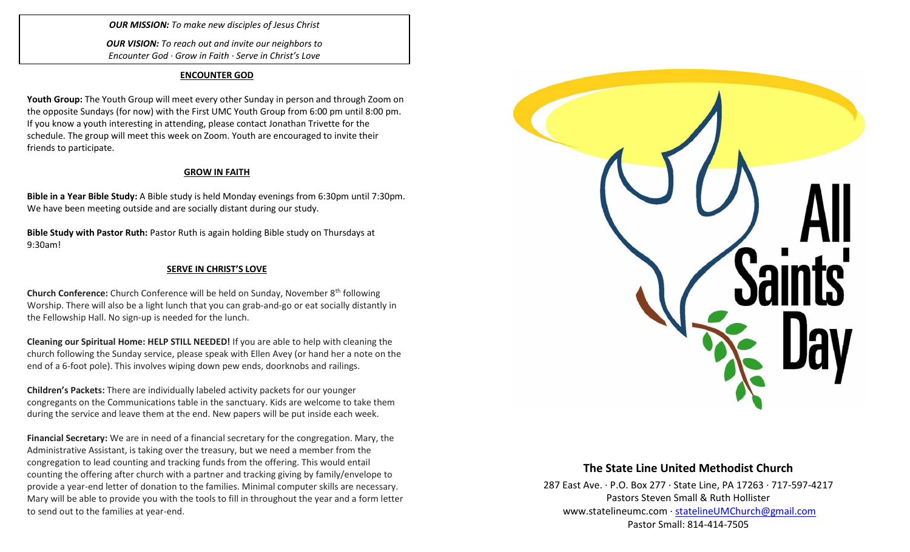*OUR MISSION: To make new disciples of Jesus Christ*

*OUR VISION: To reach out and invite our neighbors to Encounter God · Grow in Faith · Serve in Christ's Love*

#### **ENCOUNTER GOD**

**Youth Group:** The Youth Group will meet every other Sunday in person and through Zoom on the opposite Sundays (for now) with the First UMC Youth Group from 6:00 pm until 8:00 pm. If you know a youth interesting in attending, please contact Jonathan Trivette for the schedule. The group will meet this week on Zoom. Youth are encouraged to invite their friends to participate.

## **GROW IN FAITH**

**Bible in a Year Bible Study:** A Bible study is held Monday evenings from 6:30pm until 7:30pm. We have been meeting outside and are socially distant during our study.

**Bible Study with Pastor Ruth:** Pastor Ruth is again holding Bible study on Thursdays at 9:30am!

## **SERVE IN CHRIST'S LOVE**

**Church Conference:** Church Conference will be held on Sunday, November 8th following Worship. There will also be a light lunch that you can grab-and-go or eat socially distantly in the Fellowship Hall. No sign-up is needed for the lunch.

**Cleaning our Spiritual Home: HELP STILL NEEDED!** If you are able to help with cleaning the church following the Sunday service, please speak with Ellen Avey (or hand her a note on the end of a 6-foot pole). This involves wiping down pew ends, doorknobs and railings.

**Children's Packets:** There are individually labeled activity packets for our younger congregants on the Communications table in the sanctuary. Kids are welcome to take them during the service and leave them at the end. New papers will be put inside each week.

**Financial Secretary:** We are in need of a financial secretary for the congregation. Mary, the Administrative Assistant, is taking over the treasury, but we need a member from the congregation to lead counting and tracking funds from the offering. This would entail counting the offering after church with a partner and tracking giving by family/envelope to provide a year-end letter of donation to the families. Minimal computer skills are necessary. Mary will be able to provide you with the tools to fill in throughout the year and a form letter to send out to the families at year-end.



# **The State Line United Methodist Church**

287 East Ave. · P.O. Box 277 · State Line, PA 17263 · 717-597-4217 Pastors Steven Small & Ruth Hollister [www.statelineumc.com](http://www.statelineumc.com/) · [statelineUMChurch@gmail.com](mailto:statelineUMChurch@gmail.com) Pastor Small: 814-414-7505